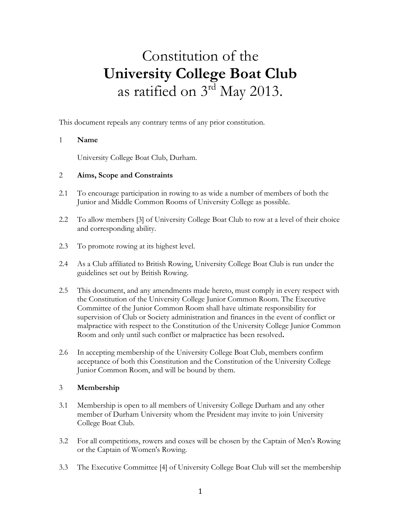# Constitution of the **University College Boat Club** as ratified on 3<sup>rd</sup> May 2013.

This document repeals any contrary terms of any prior constitution.

#### 1 **Name**

University College Boat Club, Durham.

#### 2 **Aims, Scope and Constraints**

- 2.1 To encourage participation in rowing to as wide a number of members of both the Junior and Middle Common Rooms of University College as possible.
- 2.2 To allow members [3] of University College Boat Club to row at a level of their choice and corresponding ability.
- 2.3 To promote rowing at its highest level.
- 2.4 As a Club affiliated to British Rowing, University College Boat Club is run under the guidelines set out by British Rowing.
- 2.5 This document, and any amendments made hereto, must comply in every respect with the Constitution of the University College Junior Common Room. The Executive Committee of the Junior Common Room shall have ultimate responsibility for supervision of Club or Society administration and finances in the event of conflict or malpractice with respect to the Constitution of the University College Junior Common Room and only until such conflict or malpractice has been resolved**.**
- 2.6 In accepting membership of the University College Boat Club, members confirm acceptance of both this Constitution and the Constitution of the University College Junior Common Room, and will be bound by them.

## 3 **Membership**

- 3.1 Membership is open to all members of University College Durham and any other member of Durham University whom the President may invite to join University College Boat Club.
- 3.2 For all competitions, rowers and coxes will be chosen by the Captain of Men's Rowing or the Captain of Women's Rowing.
- 3.3 The Executive Committee [4] of University College Boat Club will set the membership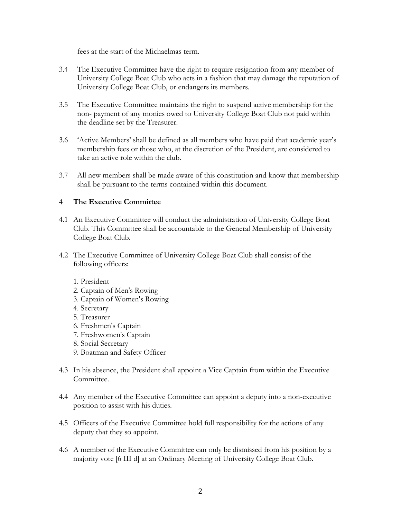fees at the start of the Michaelmas term.

- 3.4 The Executive Committee have the right to require resignation from any member of University College Boat Club who acts in a fashion that may damage the reputation of University College Boat Club, or endangers its members.
- 3.5 The Executive Committee maintains the right to suspend active membership for the non- payment of any monies owed to University College Boat Club not paid within the deadline set by the Treasurer.
- 3.6 'Active Members' shall be defined as all members who have paid that academic year's membership fees or those who, at the discretion of the President, are considered to take an active role within the club.
- 3.7 All new members shall be made aware of this constitution and know that membership shall be pursuant to the terms contained within this document.

# 4 **The Executive Committee**

- 4.1 An Executive Committee will conduct the administration of University College Boat Club. This Committee shall be accountable to the General Membership of University College Boat Club.
- 4.2 The Executive Committee of University College Boat Club shall consist of the following officers:
	- 1. President
	- 2. Captain of Men's Rowing
	- 3. Captain of Women's Rowing
	- 4. Secretary
	- 5. Treasurer
	- 6. Freshmen's Captain
	- 7. Freshwomen's Captain
	- 8. Social Secretary
	- 9. Boatman and Safety Officer
- 4.3 In his absence, the President shall appoint a Vice Captain from within the Executive Committee.
- 4.4 Any member of the Executive Committee can appoint a deputy into a non-executive position to assist with his duties.
- 4.5 Officers of the Executive Committee hold full responsibility for the actions of any deputy that they so appoint.
- 4.6 A member of the Executive Committee can only be dismissed from his position by a majority vote [6 III d] at an Ordinary Meeting of University College Boat Club.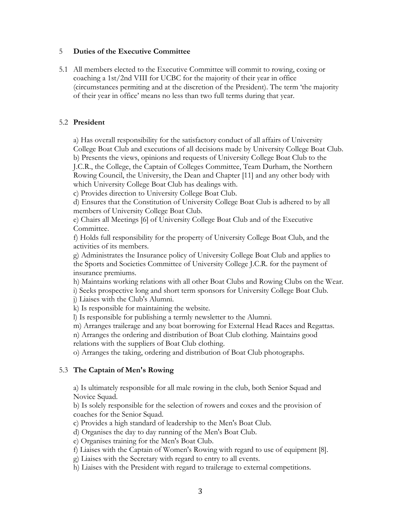#### 5 **Duties of the Executive Committee**

5.1 All members elected to the Executive Committee will commit to rowing, coxing or coaching a 1st/2nd VIII for UCBC for the majority of their year in office (circumstances permiting and at the discretion of the President). The term 'the majority of their year in office' means no less than two full terms during that year.

#### 5.2 **President**

a) Has overall responsibility for the satisfactory conduct of all affairs of University College Boat Club and executions of all decisions made by University College Boat Club. b) Presents the views, opinions and requests of University College Boat Club to the J.C.R., the College, the Captain of Colleges Committee, Team Durham, the Northern Rowing Council, the University, the Dean and Chapter [11] and any other body with which University College Boat Club has dealings with.

c) Provides direction to University College Boat Club.

d) Ensures that the Constitution of University College Boat Club is adhered to by all members of University College Boat Club.

e) Chairs all Meetings [6] of University College Boat Club and of the Executive Committee.

f) Holds full responsibility for the property of University College Boat Club, and the activities of its members.

g) Administrates the Insurance policy of University College Boat Club and applies to the Sports and Societies Committee of University College J.C.R. for the payment of insurance premiums.

h) Maintains working relations with all other Boat Clubs and Rowing Clubs on the Wear.

i) Seeks prospective long and short term sponsors for University College Boat Club.

j) Liaises with the Club's Alumni.

k) Is responsible for maintaining the website.

l) Is responsible for publishing a termly newsletter to the Alumni.

m) Arranges trailerage and any boat borrowing for External Head Races and Regattas.

n) Arranges the ordering and distribution of Boat Club clothing. Maintains good relations with the suppliers of Boat Club clothing.

o) Arranges the taking, ordering and distribution of Boat Club photographs.

#### 5.3 **The Captain of Men's Rowing**

a) Is ultimately responsible for all male rowing in the club, both Senior Squad and Novice Squad.

b) Is solely responsible for the selection of rowers and coxes and the provision of coaches for the Senior Squad.

c) Provides a high standard of leadership to the Men's Boat Club.

d) Organises the day to day running of the Men's Boat Club.

e) Organises training for the Men's Boat Club.

f) Liaises with the Captain of Women's Rowing with regard to use of equipment [8].

g) Liaises with the Secretary with regard to entry to all events.

h) Liaises with the President with regard to trailerage to external competitions.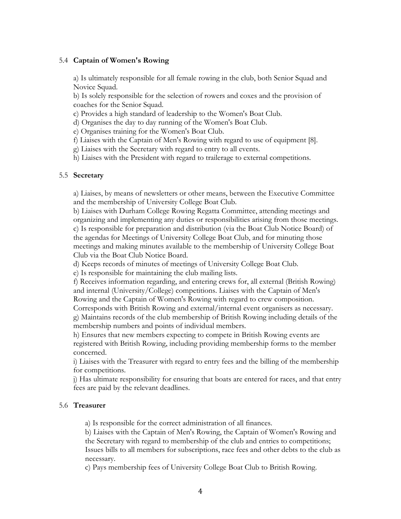#### 5.4 **Captain of Women's Rowing**

a) Is ultimately responsible for all female rowing in the club, both Senior Squad and Novice Squad.

b) Is solely responsible for the selection of rowers and coxes and the provision of coaches for the Senior Squad.

c) Provides a high standard of leadership to the Women's Boat Club.

d) Organises the day to day running of the Women's Boat Club.

e) Organises training for the Women's Boat Club.

f) Liaises with the Captain of Men's Rowing with regard to use of equipment [8].

g) Liaises with the Secretary with regard to entry to all events.

h) Liaises with the President with regard to trailerage to external competitions.

#### 5.5 **Secretary**

a) Liaises, by means of newsletters or other means, between the Executive Committee and the membership of University College Boat Club.

b) Liaises with Durham College Rowing Regatta Committee, attending meetings and organizing and implementing any duties or responsibilities arising from those meetings. c) Is responsible for preparation and distribution (via the Boat Club Notice Board) of the agendas for Meetings of University College Boat Club, and for minuting those meetings and making minutes available to the membership of University College Boat Club via the Boat Club Notice Board.

d) Keeps records of minutes of meetings of University College Boat Club.

e) Is responsible for maintaining the club mailing lists.

f) Receives information regarding, and entering crews for, all external (British Rowing) and internal (University/College) competitions. Liaises with the Captain of Men's Rowing and the Captain of Women's Rowing with regard to crew composition.

Corresponds with British Rowing and external/internal event organisers as necessary. g) Maintains records of the club membership of British Rowing including details of the membership numbers and points of individual members.

h) Ensures that new members expecting to compete in British Rowing events are registered with British Rowing, including providing membership forms to the member concerned.

i) Liaises with the Treasurer with regard to entry fees and the billing of the membership for competitions.

j) Has ultimate responsibility for ensuring that boats are entered for races, and that entry fees are paid by the relevant deadlines.

#### 5.6 **Treasurer**

a) Is responsible for the correct administration of all finances.

b) Liaises with the Captain of Men's Rowing, the Captain of Women's Rowing and the Secretary with regard to membership of the club and entries to competitions; Issues bills to all members for subscriptions, race fees and other debts to the club as necessary.

c) Pays membership fees of University College Boat Club to British Rowing.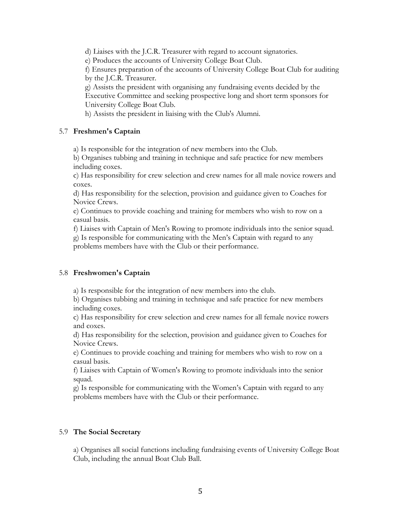d) Liaises with the J.C.R. Treasurer with regard to account signatories.

e) Produces the accounts of University College Boat Club.

f) Ensures preparation of the accounts of University College Boat Club for auditing by the J.C.R. Treasurer.

g) Assists the president with organising any fundraising events decided by the Executive Committee and seeking prospective long and short term sponsors for University College Boat Club.

h) Assists the president in liaising with the Club's Alumni.

#### 5.7 **Freshmen's Captain**

a) Is responsible for the integration of new members into the Club.

b) Organises tubbing and training in technique and safe practice for new members including coxes.

c) Has responsibility for crew selection and crew names for all male novice rowers and coxes.

d) Has responsibility for the selection, provision and guidance given to Coaches for Novice Crews.

e) Continues to provide coaching and training for members who wish to row on a casual basis.

f) Liaises with Captain of Men's Rowing to promote individuals into the senior squad. g) Is responsible for communicating with the Men's Captain with regard to any problems members have with the Club or their performance.

## 5.8 **Freshwomen's Captain**

a) Is responsible for the integration of new members into the club.

b) Organises tubbing and training in technique and safe practice for new members including coxes.

c) Has responsibility for crew selection and crew names for all female novice rowers and coxes.

d) Has responsibility for the selection, provision and guidance given to Coaches for Novice Crews.

e) Continues to provide coaching and training for members who wish to row on a casual basis.

f) Liaises with Captain of Women's Rowing to promote individuals into the senior squad.

g) Is responsible for communicating with the Women's Captain with regard to any problems members have with the Club or their performance.

#### 5.9 **The Social Secretary**

a) Organises all social functions including fundraising events of University College Boat Club, including the annual Boat Club Ball.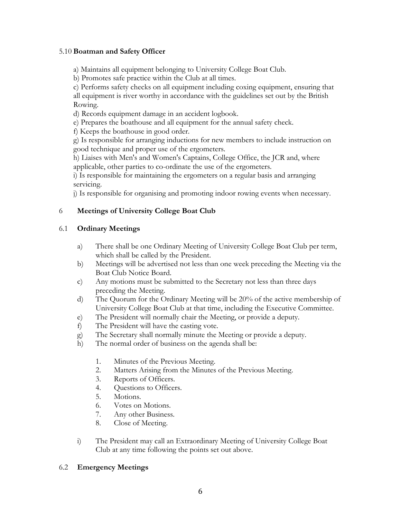#### 5.10 **Boatman and Safety Officer**

a) Maintains all equipment belonging to University College Boat Club.

b) Promotes safe practice within the Club at all times.

c) Performs safety checks on all equipment including coxing equipment, ensuring that all equipment is river worthy in accordance with the guidelines set out by the British Rowing.

d) Records equipment damage in an accident logbook.

e) Prepares the boathouse and all equipment for the annual safety check.

f) Keeps the boathouse in good order.

g) Is responsible for arranging inductions for new members to include instruction on good technique and proper use of the ergometers.

h) Liaises with Men's and Women's Captains, College Office, the JCR and, where applicable, other parties to co-ordinate the use of the ergometers.

i) Is responsible for maintaining the ergometers on a regular basis and arranging servicing.

j) Is responsible for organising and promoting indoor rowing events when necessary.

# 6 **Meetings of University College Boat Club**

# 6.1 **Ordinary Meetings**

- a) There shall be one Ordinary Meeting of University College Boat Club per term, which shall be called by the President.
- b) Meetings will be advertised not less than one week preceding the Meeting via the Boat Club Notice Board.
- c) Any motions must be submitted to the Secretary not less than three days preceding the Meeting.
- d) The Quorum for the Ordinary Meeting will be 20% of the active membership of University College Boat Club at that time, including the Executive Committee.
- e) The President will normally chair the Meeting, or provide a deputy.
- f) The President will have the casting vote.
- g) The Secretary shall normally minute the Meeting or provide a deputy.
- h) The normal order of business on the agenda shall be:
	- 1. Minutes of the Previous Meeting.
	- 2. Matters Arising from the Minutes of the Previous Meeting.
	- 3. Reports of Officers.
	- 4. Questions to Officers.
	- 5. Motions.
	- 6. Votes on Motions.
	- 7. Any other Business.
	- 8. Close of Meeting.
- i) The President may call an Extraordinary Meeting of University College Boat Club at any time following the points set out above.

## 6.2 **Emergency Meetings**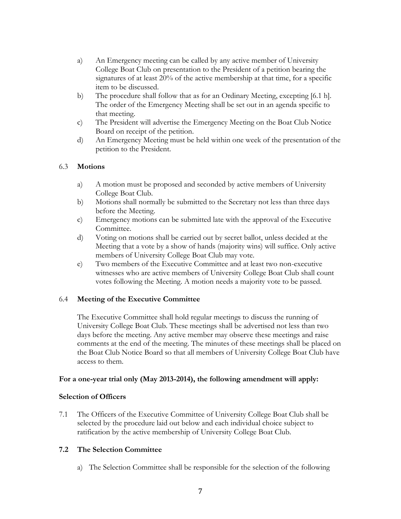- a) An Emergency meeting can be called by any active member of University College Boat Club on presentation to the President of a petition bearing the signatures of at least 20% of the active membership at that time, for a specific item to be discussed.
- b) The procedure shall follow that as for an Ordinary Meeting, excepting [6.1 h]. The order of the Emergency Meeting shall be set out in an agenda specific to that meeting.
- c) The President will advertise the Emergency Meeting on the Boat Club Notice Board on receipt of the petition.
- d) An Emergency Meeting must be held within one week of the presentation of the petition to the President.

## 6.3 **Motions**

- a) A motion must be proposed and seconded by active members of University College Boat Club.
- b) Motions shall normally be submitted to the Secretary not less than three days before the Meeting.
- c) Emergency motions can be submitted late with the approval of the Executive Committee.
- d) Voting on motions shall be carried out by secret ballot, unless decided at the Meeting that a vote by a show of hands (majority wins) will suffice. Only active members of University College Boat Club may vote.
- e) Two members of the Executive Committee and at least two non-executive witnesses who are active members of University College Boat Club shall count votes following the Meeting. A motion needs a majority vote to be passed.

# 6.4 **Meeting of the Executive Committee**

The Executive Committee shall hold regular meetings to discuss the running of University College Boat Club. These meetings shall be advertised not less than two days before the meeting. Any active member may observe these meetings and raise comments at the end of the meeting. The minutes of these meetings shall be placed on the Boat Club Notice Board so that all members of University College Boat Club have access to them.

## **For a one-year trial only (May 2013-2014), the following amendment will apply:**

## **Selection of Officers**

7.1 The Officers of the Executive Committee of University College Boat Club shall be selected by the procedure laid out below and each individual choice subject to ratification by the active membership of University College Boat Club.

# **7.2 The Selection Committee**

a) The Selection Committee shall be responsible for the selection of the following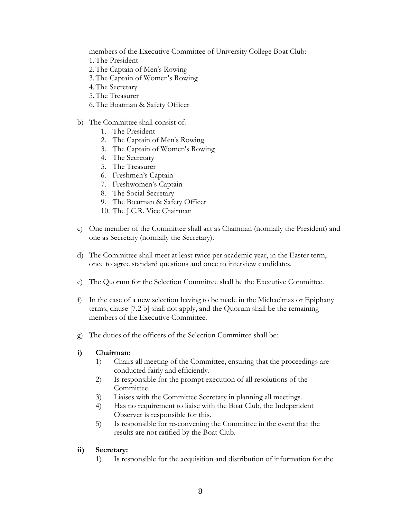members of the Executive Committee of University College Boat Club:

- 1.The President
- 2.The Captain of Men's Rowing
- 3.The Captain of Women's Rowing
- 4.The Secretary
- 5.The Treasurer
- 6.The Boatman & Safety Officer
- b) The Committee shall consist of:
	- 1. The President
	- 2. The Captain of Men's Rowing
	- 3. The Captain of Women's Rowing
	- 4. The Secretary
	- 5. The Treasurer
	- 6. Freshmen's Captain
	- 7. Freshwomen's Captain
	- 8. The Social Secretary
	- 9. The Boatman & Safety Officer
	- 10. The J.C.R. Vice Chairman
- c) One member of the Committee shall act as Chairman (normally the President) and one as Secretary (normally the Secretary).
- d) The Committee shall meet at least twice per academic year, in the Easter term, once to agree standard questions and once to interview candidates.
- e) The Quorum for the Selection Committee shall be the Executive Committee.
- f) In the case of a new selection having to be made in the Michaelmas or Epiphany terms, clause [7.2 b] shall not apply, and the Quorum shall be the remaining members of the Executive Committee.
- g) The duties of the officers of the Selection Committee shall be:

## **i) Chairman:**

- 1) Chairs all meeting of the Committee, ensuring that the proceedings are conducted fairly and efficiently.
- 2) Is responsible for the prompt execution of all resolutions of the Committee.
- 3) Liaises with the Committee Secretary in planning all meetings.
- 4) Has no requirement to liaise with the Boat Club, the Independent Observer is responsible for this.
- 5) Is responsible for re-convening the Committee in the event that the results are not ratified by the Boat Club.

## **ii) Secretary:**

1) Is responsible for the acquisition and distribution of information for the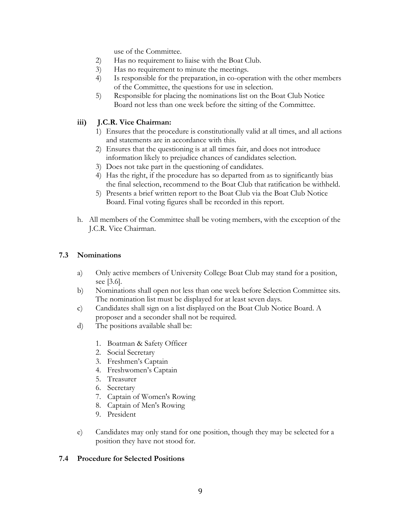use of the Committee.

- 2) Has no requirement to liaise with the Boat Club.
- 3) Has no requirement to minute the meetings.
- 4) Is responsible for the preparation, in co-operation with the other members of the Committee, the questions for use in selection.
- 5) Responsible for placing the nominations list on the Boat Club Notice Board not less than one week before the sitting of the Committee.

# **iii) J.C.R. Vice Chairman:**

- 1) Ensures that the procedure is constitutionally valid at all times, and all actions and statements are in accordance with this.
- 2) Ensures that the questioning is at all times fair, and does not introduce information likely to prejudice chances of candidates selection.
- 3) Does not take part in the questioning of candidates.
- 4) Has the right, if the procedure has so departed from as to significantly bias the final selection, recommend to the Boat Club that ratification be withheld.
- 5) Presents a brief written report to the Boat Club via the Boat Club Notice Board. Final voting figures shall be recorded in this report.
- h. All members of the Committee shall be voting members, with the exception of the J.C.R. Vice Chairman.

## **7.3 Nominations**

- a) Only active members of University College Boat Club may stand for a position, see [3.6].
- b) Nominations shall open not less than one week before Selection Committee sits. The nomination list must be displayed for at least seven days.
- c) Candidates shall sign on a list displayed on the Boat Club Notice Board. A proposer and a seconder shall not be required.
- d) The positions available shall be:
	- 1. Boatman & Safety Officer
	- 2. Social Secretary
	- 3. Freshmen's Captain
	- 4. Freshwomen's Captain
	- 5. Treasurer
	- 6. Secretary
	- 7. Captain of Women's Rowing
	- 8. Captain of Men's Rowing
	- 9. President
- e) Candidates may only stand for one position, though they may be selected for a position they have not stood for.

## **7.4 Procedure for Selected Positions**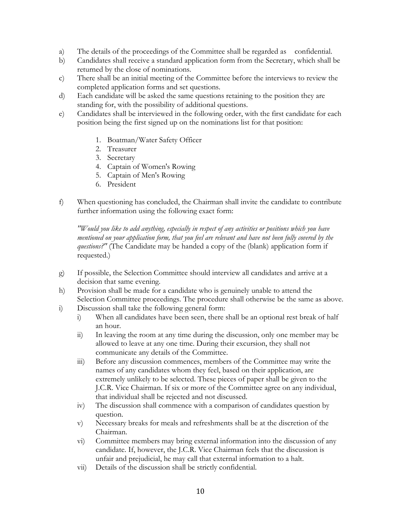- a) The details of the proceedings of the Committee shall be regarded as confidential.
- b) Candidates shall receive a standard application form from the Secretary, which shall be returned by the close of nominations.
- c) There shall be an initial meeting of the Committee before the interviews to review the completed application forms and set questions.
- d) Each candidate will be asked the same questions retaining to the position they are standing for, with the possibility of additional questions.
- e) Candidates shall be interviewed in the following order, with the first candidate for each position being the first signed up on the nominations list for that position:
	- 1. Boatman/Water Safety Officer
	- 2. Treasurer
	- 3. Secretary
	- 4. Captain of Women's Rowing
	- 5. Captain of Men's Rowing
	- 6. President
- f) When questioning has concluded, the Chairman shall invite the candidate to contribute further information using the following exact form:

*"Would you like to add anything, especially in respect of any activities or positions which you have mentioned on your application form, that you feel are relevant and have not been fully covered by the questions?"* (The Candidate may be handed a copy of the (blank) application form if requested.)

- g) If possible, the Selection Committee should interview all candidates and arrive at a decision that same evening.
- h) Provision shall be made for a candidate who is genuinely unable to attend the Selection Committee proceedings. The procedure shall otherwise be the same as above.
- i) Discussion shall take the following general form:
	- i) When all candidates have been seen, there shall be an optional rest break of half an hour.
	- ii) In leaving the room at any time during the discussion, only one member may be allowed to leave at any one time. During their excursion, they shall not communicate any details of the Committee.
	- iii) Before any discussion commences, members of the Committee may write the names of any candidates whom they feel, based on their application, are extremely unlikely to be selected. These pieces of paper shall be given to the J.C.R. Vice Chairman. If six or more of the Committee agree on any individual, that individual shall be rejected and not discussed.
	- iv) The discussion shall commence with a comparison of candidates question by question.
	- v) Necessary breaks for meals and refreshments shall be at the discretion of the Chairman.
	- vi) Committee members may bring external information into the discussion of any candidate. If, however, the J.C.R. Vice Chairman feels that the discussion is unfair and prejudicial, he may call that external information to a halt.
	- vii) Details of the discussion shall be strictly confidential.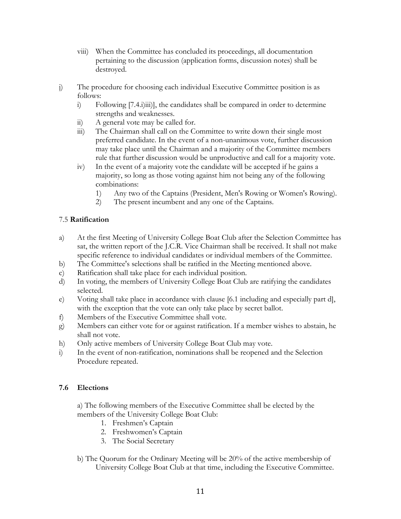- viii) When the Committee has concluded its proceedings, all documentation pertaining to the discussion (application forms, discussion notes) shall be destroyed.
- j) The procedure for choosing each individual Executive Committee position is as follows:
	- i) Following [7.4.i)iii)], the candidates shall be compared in order to determine strengths and weaknesses.
	- ii) A general vote may be called for.
	- iii) The Chairman shall call on the Committee to write down their single most preferred candidate. In the event of a non-unanimous vote, further discussion may take place until the Chairman and a majority of the Committee members rule that further discussion would be unproductive and call for a majority vote.
	- iv) In the event of a majority vote the candidate will be accepted if he gains a majority, so long as those voting against him not being any of the following combinations:
		- 1) Any two of the Captains (President, Men's Rowing or Women's Rowing).
		- 2) The present incumbent and any one of the Captains.

# 7.5 **Ratification**

- a) At the first Meeting of University College Boat Club after the Selection Committee has sat, the written report of the J.C.R. Vice Chairman shall be received. It shall not make specific reference to individual candidates or individual members of the Committee.
- b) The Committee's selections shall be ratified in the Meeting mentioned above.
- c) Ratification shall take place for each individual position.
- d) In voting, the members of University College Boat Club are ratifying the candidates selected.
- e) Voting shall take place in accordance with clause [6.1 including and especially part d], with the exception that the vote can only take place by secret ballot.
- f) Members of the Executive Committee shall vote.
- g) Members can either vote for or against ratification. If a member wishes to abstain, he shall not vote.
- h) Only active members of University College Boat Club may vote.
- i) In the event of non-ratification, nominations shall be reopened and the Selection Procedure repeated.

# **7.6 Elections**

a) The following members of the Executive Committee shall be elected by the members of the University College Boat Club:

- 1. Freshmen's Captain
- 2. Freshwomen's Captain
- 3. The Social Secretary
- b) The Quorum for the Ordinary Meeting will be 20% of the active membership of University College Boat Club at that time, including the Executive Committee.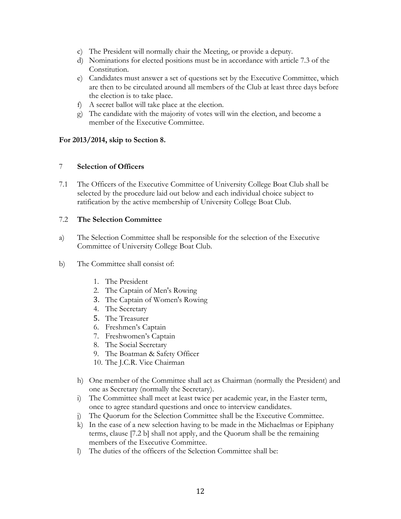- c) The President will normally chair the Meeting, or provide a deputy.
- d) Nominations for elected positions must be in accordance with article 7.3 of the Constitution.
- e) Candidates must answer a set of questions set by the Executive Committee, which are then to be circulated around all members of the Club at least three days before the election is to take place.
- f) A secret ballot will take place at the election.
- g) The candidate with the majority of votes will win the election, and become a member of the Executive Committee.

# **For 2013/2014, skip to Section 8.**

## 7 **Selection of Officers**

7.1 The Officers of the Executive Committee of University College Boat Club shall be selected by the procedure laid out below and each individual choice subject to ratification by the active membership of University College Boat Club.

# 7.2 **The Selection Committee**

- a) The Selection Committee shall be responsible for the selection of the Executive Committee of University College Boat Club.
- b) The Committee shall consist of:
	- 1. The President
	- 2. The Captain of Men's Rowing
	- 3. The Captain of Women's Rowing
	- 4. The Secretary
	- 5. The Treasurer
	- 6. Freshmen's Captain
	- 7. Freshwomen's Captain
	- 8. The Social Secretary
	- 9. The Boatman & Safety Officer
	- 10. The J.C.R. Vice Chairman
	- h) One member of the Committee shall act as Chairman (normally the President) and one as Secretary (normally the Secretary).
	- i) The Committee shall meet at least twice per academic year, in the Easter term, once to agree standard questions and once to interview candidates.
	- j) The Quorum for the Selection Committee shall be the Executive Committee.
	- k) In the case of a new selection having to be made in the Michaelmas or Epiphany terms, clause [7.2 b] shall not apply, and the Quorum shall be the remaining members of the Executive Committee.
	- l) The duties of the officers of the Selection Committee shall be: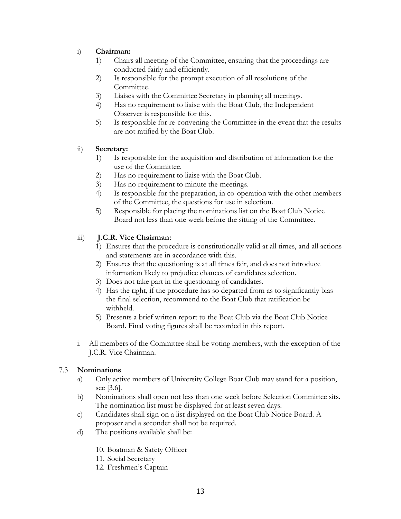# i) **Chairman:**

- 1) Chairs all meeting of the Committee, ensuring that the proceedings are conducted fairly and efficiently.
- 2) Is responsible for the prompt execution of all resolutions of the Committee.
- 3) Liaises with the Committee Secretary in planning all meetings.
- 4) Has no requirement to liaise with the Boat Club, the Independent Observer is responsible for this.
- 5) Is responsible for re-convening the Committee in the event that the results are not ratified by the Boat Club.

# ii) **Secretary:**

- 1) Is responsible for the acquisition and distribution of information for the use of the Committee.
- 2) Has no requirement to liaise with the Boat Club.
- 3) Has no requirement to minute the meetings.
- 4) Is responsible for the preparation, in co-operation with the other members of the Committee, the questions for use in selection.
- 5) Responsible for placing the nominations list on the Boat Club Notice Board not less than one week before the sitting of the Committee.

# iii) **J.C.R. Vice Chairman:**

- 1) Ensures that the procedure is constitutionally valid at all times, and all actions and statements are in accordance with this.
- 2) Ensures that the questioning is at all times fair, and does not introduce information likely to prejudice chances of candidates selection.
- 3) Does not take part in the questioning of candidates.
- 4) Has the right, if the procedure has so departed from as to significantly bias the final selection, recommend to the Boat Club that ratification be withheld.
- 5) Presents a brief written report to the Boat Club via the Boat Club Notice Board. Final voting figures shall be recorded in this report.
- i. All members of the Committee shall be voting members, with the exception of the J.C.R. Vice Chairman.

# 7.3 **Nominations**

- a) Only active members of University College Boat Club may stand for a position, see [3.6].
- b) Nominations shall open not less than one week before Selection Committee sits. The nomination list must be displayed for at least seven days.
- c) Candidates shall sign on a list displayed on the Boat Club Notice Board. A proposer and a seconder shall not be required.
- d) The positions available shall be:
	- 10. Boatman & Safety Officer
	- 11. Social Secretary
	- 12. Freshmen's Captain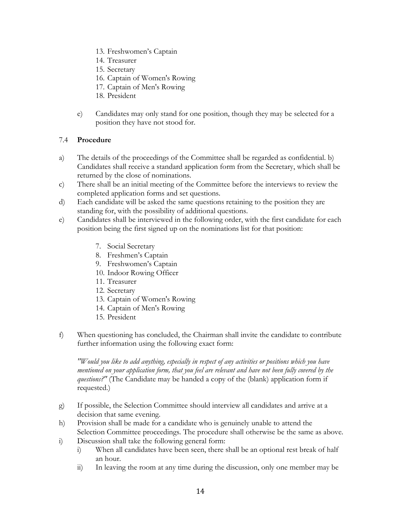- 13. Freshwomen's Captain
- 14. Treasurer
- 15. Secretary
- 16. Captain of Women's Rowing
- 17. Captain of Men's Rowing
- 18. President
- e) Candidates may only stand for one position, though they may be selected for a position they have not stood for.

# 7.4 **Procedure**

- a) The details of the proceedings of the Committee shall be regarded as confidential. b) Candidates shall receive a standard application form from the Secretary, which shall be returned by the close of nominations.
- c) There shall be an initial meeting of the Committee before the interviews to review the completed application forms and set questions.
- d) Each candidate will be asked the same questions retaining to the position they are standing for, with the possibility of additional questions.
- e) Candidates shall be interviewed in the following order, with the first candidate for each position being the first signed up on the nominations list for that position:
	- 7. Social Secretary
	- 8. Freshmen's Captain
	- 9. Freshwomen's Captain
	- 10. Indoor Rowing Officer
	- 11. Treasurer
	- 12. Secretary
	- 13. Captain of Women's Rowing
	- 14. Captain of Men's Rowing
	- 15. President
- f) When questioning has concluded, the Chairman shall invite the candidate to contribute further information using the following exact form:

*"Would you like to add anything, especially in respect of any activities or positions which you have mentioned on your application form, that you feel are relevant and have not been fully covered by the questions?"* (The Candidate may be handed a copy of the (blank) application form if requested.)

- g) If possible, the Selection Committee should interview all candidates and arrive at a decision that same evening.
- h) Provision shall be made for a candidate who is genuinely unable to attend the Selection Committee proceedings. The procedure shall otherwise be the same as above.
- i) Discussion shall take the following general form:
	- i) When all candidates have been seen, there shall be an optional rest break of half an hour.
	- ii) In leaving the room at any time during the discussion, only one member may be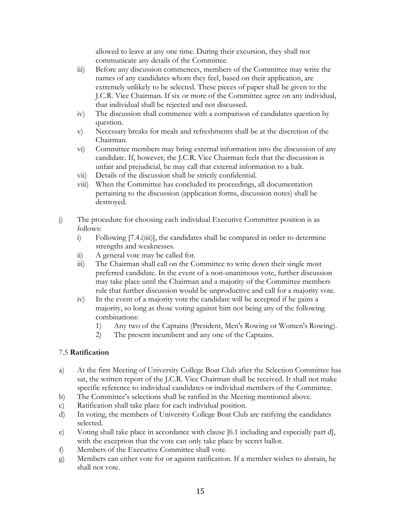allowed to leave at any one time. During their excursion, they shall not communicate any details of the Committee.

- iii) Before any discussion commences, members of the Committee may write the names of any candidates whom they feel, based on their application, are extremely unlikely to be selected. These pieces of paper shall be given to the J.C.R. Vice Chairman. If six or more of the Committee agree on any individual, that individual shall be rejected and not discussed.
- iv) The discussion shall commence with a comparison of candidates question by question.
- v) Necessary breaks for meals and refreshments shall be at the discretion of the Chairman.
- vi) Committee members may bring external information into the discussion of any candidate. If, however, the J.C.R. Vice Chairman feels that the discussion is unfair and prejudicial, he may call that external information to a halt.
- vii) Details of the discussion shall be strictly confidential.
- viii) When the Committee has concluded its proceedings, all documentation pertaining to the discussion (application forms, discussion notes) shall be destroyed.
- j) The procedure for choosing each individual Executive Committee position is as follows:
	- i) Following [7.4.i)iii)], the candidates shall be compared in order to determine strengths and weaknesses.
	- ii) A general vote may be called for.
	- iii) The Chairman shall call on the Committee to write down their single most preferred candidate. In the event of a non-unanimous vote, further discussion may take place until the Chairman and a majority of the Committee members rule that further discussion would be unproductive and call for a majority vote.
	- iv) In the event of a majority vote the candidate will be accepted if he gains a majority, so long as those voting against him not being any of the following combinations:
		- 1) Any two of the Captains (President, Men's Rowing or Women's Rowing).
		- 2) The present incumbent and any one of the Captains.

## 7.5 **Ratification**

- a) At the first Meeting of University College Boat Club after the Selection Committee has sat, the written report of the J.C.R. Vice Chairman shall be received. It shall not make specific reference to individual candidates or individual members of the Committee.
- b) The Committee's selections shall be ratified in the Meeting mentioned above.
- c) Ratification shall take place for each individual position.
- d) In voting, the members of University College Boat Club are ratifying the candidates selected.
- e) Voting shall take place in accordance with clause [6.1 including and especially part d], with the exception that the vote can only take place by secret ballot.
- f) Members of the Executive Committee shall vote.
- g) Members can either vote for or against ratification. If a member wishes to abstain, he shall not vote.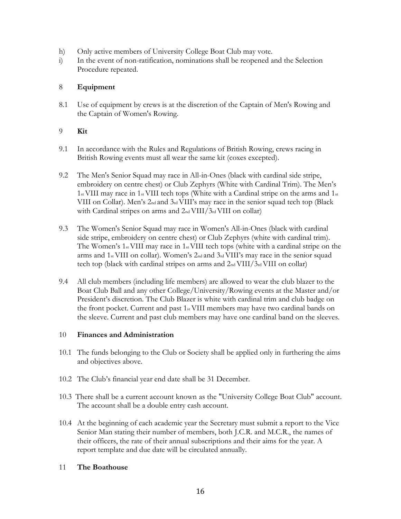- h) Only active members of University College Boat Club may vote.
- i) In the event of non-ratification, nominations shall be reopened and the Selection Procedure repeated.

# 8 **Equipment**

8.1 Use of equipment by crews is at the discretion of the Captain of Men's Rowing and the Captain of Women's Rowing.

# 9 **Kit**

- 9.1 In accordance with the Rules and Regulations of British Rowing, crews racing in British Rowing events must all wear the same kit (coxes excepted).
- 9.2 The Men's Senior Squad may race in All-in-Ones (black with cardinal side stripe, embroidery on centre chest) or Club Zephyrs (White with Cardinal Trim). The Men's 1st VIII may race in 1st VIII tech tops (White with a Cardinal stripe on the arms and 1st VIII on Collar). Men's 2nd and 3rd VIII's may race in the senior squad tech top (Black with Cardinal stripes on arms and  $2<sub>nd</sub> VIII/3<sub>rd</sub> VIII$  on collar)
- 9.3 The Women's Senior Squad may race in Women's All-in-Ones (black with cardinal side stripe, embroidery on centre chest) or Club Zephyrs (white with cardinal trim). The Women's 1st VIII may race in 1st VIII tech tops (white with a cardinal stripe on the arms and  $1_{st}$  VIII on collar). Women's  $2_{nd}$  and  $3_{rd}$  VIII's may race in the senior squad tech top (black with cardinal stripes on arms and 2nd VIII/3rd VIII on collar)
- 9.4 All club members (including life members) are allowed to wear the club blazer to the Boat Club Ball and any other College/University/Rowing events at the Master and/or President's discretion. The Club Blazer is white with cardinal trim and club badge on the front pocket. Current and past 1st VIII members may have two cardinal bands on the sleeve. Current and past club members may have one cardinal band on the sleeves.

## 10 **Finances and Administration**

- 10.1 The funds belonging to the Club or Society shall be applied only in furthering the aims and objectives above.
- 10.2 The Club's financial year end date shall be 31 December.
- 10.3 There shall be a current account known as the "University College Boat Club" account. The account shall be a double entry cash account.
- 10.4 At the beginning of each academic year the Secretary must submit a report to the Vice Senior Man stating their number of members, both J.C.R. and M.C.R., the names of their officers, the rate of their annual subscriptions and their aims for the year. A report template and due date will be circulated annually.

## 11 **The Boathouse**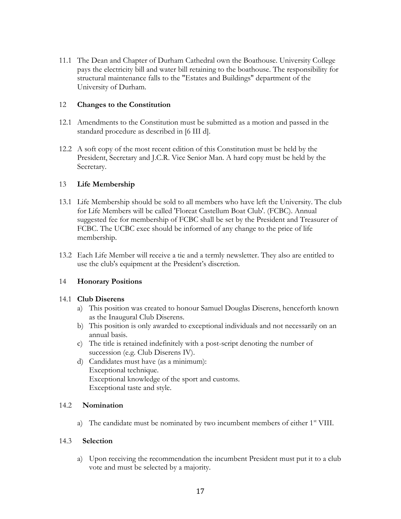11.1 The Dean and Chapter of Durham Cathedral own the Boathouse. University College pays the electricity bill and water bill retaining to the boathouse. The responsibility for structural maintenance falls to the "Estates and Buildings" department of the University of Durham.

## 12 **Changes to the Constitution**

- 12.1 Amendments to the Constitution must be submitted as a motion and passed in the standard procedure as described in [6 III d].
- 12.2 A soft copy of the most recent edition of this Constitution must be held by the President, Secretary and J.C.R. Vice Senior Man. A hard copy must be held by the Secretary.

## 13 **Life Membership**

- 13.1 Life Membership should be sold to all members who have left the University. The club for Life Members will be called 'Floreat Castellum Boat Club'. (FCBC). Annual suggested fee for membership of FCBC shall be set by the President and Treasurer of FCBC. The UCBC exec should be informed of any change to the price of life membership.
- 13.2 Each Life Member will receive a tie and a termly newsletter. They also are entitled to use the club's equipment at the President's discretion.

## 14 **Honorary Positions**

#### 14.1 **Club Diserens**

- a) This position was created to honour Samuel Douglas Diserens, henceforth known as the Inaugural Club Diserens.
- b) This position is only awarded to exceptional individuals and not necessarily on an annual basis.
- c) The title is retained indefinitely with a post-script denoting the number of succession (e.g. Club Diserens IV).
- d) Candidates must have (as a minimum): Exceptional technique. Exceptional knowledge of the sport and customs. Exceptional taste and style.

#### 14.2 **Nomination**

a) The candidate must be nominated by two incumbent members of either  $1<sup>st</sup>$  VIII.

#### 14.3 **Selection**

a) Upon receiving the recommendation the incumbent President must put it to a club vote and must be selected by a majority.